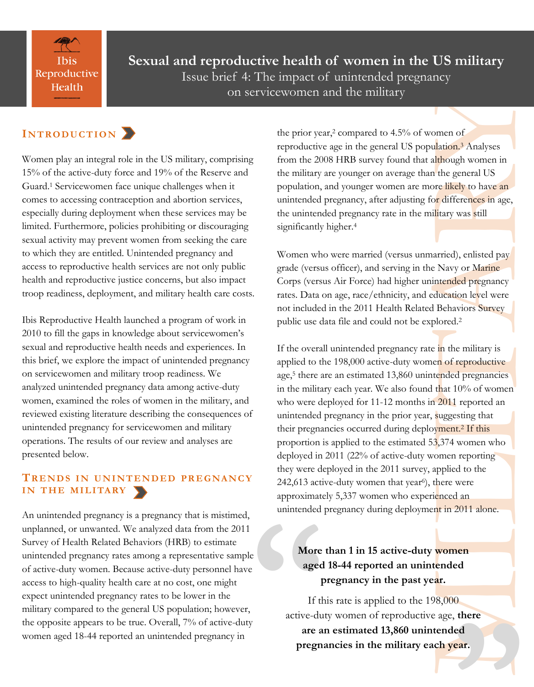**Ibis** Reproductive Health

**Sexual and reproductive health of women in the US military** Issue brief 4: The impact of unintended pregnancy on servicewomen and the military

## $IN T R O D U C T I O N$

Women play an integral role in the US military, comprising 15% of the active-duty force and 19% of the Reserve and Guard.<sup>1</sup> Servicewomen face unique challenges when it comes to accessing contraception and abortion services, especially during deployment when these services may be limited. Furthermore, policies prohibiting or discouraging sexual activity may prevent women from seeking the care to which they are entitled. Unintended pregnancy and access to reproductive health services are not only public health and reproductive justice concerns, but also impact troop readiness, deployment, and military health care costs.

Ibis Reproductive Health launched a program of work in 2010 to fill the gaps in knowledge about servicewomen's sexual and reproductive health needs and experiences. In this brief, we explore the impact of unintended pregnancy on servicewomen and military troop readiness. We analyzed unintended pregnancy data among active-duty women, examined the roles of women in the military, and reviewed existing literature describing the consequences of unintended pregnancy for servicewomen and military operations. The results of our review and analyses are presented below.

### **TR E N D S I N U N I N T E N D E D P R E G NA N C Y** IN THE MILITARY

An unintended pregnancy is a pregnancy that is mistimed, unplanned, or unwanted. We analyzed data from the 2011 Survey of Health Related Behaviors (HRB) to estimate unintended pregnancy rates among a representative sample of active-duty women. Because active-duty personnel have access to high-quality health care at no cost, one might expect unintended pregnancy rates to be lower in the military compared to the general US population; however, the opposite appears to be true. Overall, 7% of active-duty women aged 18-44 reported an unintended pregnancy in

the prior year,<sup>2</sup> compared to 4.5% of women of reproductive age in the general US population.<sup>3</sup> Analyses from the 2008 HRB survey found that although women in the military are younger on average than the general US population, and younger women are more likely to have an unintended pregnancy, after adjusting for differences in age, the unintended pregnancy rate in the military was still significantly higher.<sup>[4](file:///C:/Users/msmith/AppData/Local/Microsoft/Windows/Temporary%20Internet%20Files/Content.Outlook/WPD47ICA/Brief%204%20draft_6-27-13_clean.docx#_ENREF_2#_ENREF_2)</sup>

Women who were married (versus unmarried), enlisted pay grade (versus officer), and serving in the Navy or Marine Corps (versus Air Force) had higher unintended pregnancy rates. Data on age, race/ethnicity, and education level were not included in the 2011 Health Related Behaviors Survey public use data file and could not be explored.<sup>2</sup>

omen of<br>
ulation.<sup>3</sup> [A](file:///C:/Users/msmith/AppData/Local/Microsoft/Windows/Temporary%20Internet%20Files/Content.Outlook/WPD47ICA/Brief%204%20draft_6-27-13_clean.docx#_ENREF_2#_ENREF_2)nalyses<br>
although women in<br>
the general US<br>
or differences in age,<br>
by to have an<br>
or differences in age,<br>
ilitary was still<br>
uarried), enlisted pay<br>
interneted pregnancy<br>
ducation level were<br>
in the If the overall unintended pregnancy rate in the military is applied to the 198,000 active-duty women of reproductive age,<sup>5</sup> there are an estimated 13,860 unintended pregnancies in the military each year. We also found that 10% of women who were deployed for 11-12 months in 2011 reported an unintended pregnancy in the prior year, suggesting that their pregnancies occurred during deployment.<sup>2</sup> If this proportion is applied to the estimated 53,374 women who deployed in 2011 (22% of active-duty women reporting they were deployed in the 2011 survey, applied to the 242,613 active-duty women that year<sup>6</sup>), there were approximately 5,337 women who experienced an unintended pregnancy during deployment in 2011 alone.

## **More than 1 in 15 active-duty women aged 18-44 reported an unintended pregnancy in the past year.**

unintended<br>
e<br> **More**<br>
aged<br>
1<br>
If tl<br>
active-du<br>
are a<br>
pregn If this rate is applied to the 198,000 active-duty women of reproductive age, **there are an estimated 13,860 unintended pregnancies in the military each year.**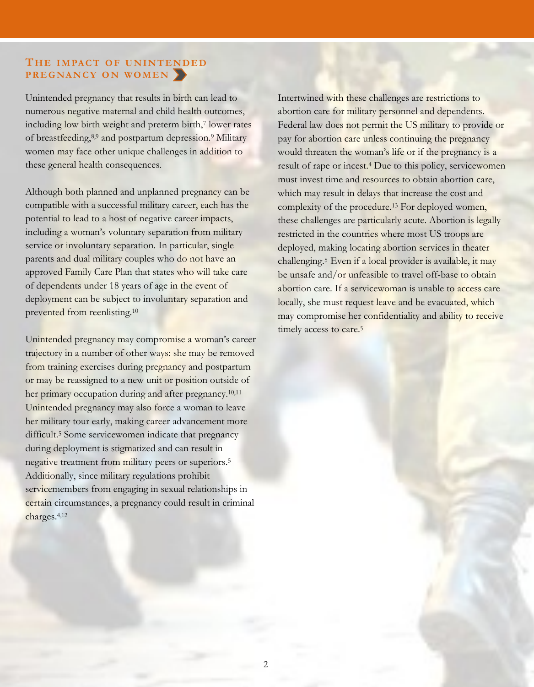#### **TH E I M PA C T O F U N I N T E ND E D P R E G NA N C Y O N WO M E N**

Unintended pregnancy that results in birth can lead to numerous negative maternal and child health outcomes, including low birth weight and preterm birth,<sup>7</sup> lower rates of breastfeeding,8,9 and postpartum depression.<sup>9</sup> Military women may face other unique challenges in addition to these general health consequences.

Although both planned and unplanned pregnancy can be compatible with a successful military career, each has the potential to lead to a host of negative career impacts, including a woman's voluntary separation from military service or involuntary separation. In particular, single parents and dual military couples who do not have an approved Family Care Plan that states who will take care of dependents under 18 years of age in the event of deployment can be subject to involuntary separation and prevented from reenlisting.<sup>10</sup>

Unintended pregnancy may compromise a woman's career trajectory in a number of other ways: she may be removed from training exercises during pregnancy and postpartum or may be reassigned to a new unit or position outside of her primary occupation during and after pregnancy.<sup>10,11</sup> Unintended pregnancy may also force a woman to leave her military tour early, making career advancement more difficult.<sup>5</sup> Some servicewomen indicate that pregnancy during deployment is stigmatized and can result in negative treatment from military peers or superiors.<sup>5</sup> Additionally, since military regulations prohibit servicemembers from engaging in sexual relationships in certain circumstances, a pregnancy could result in criminal charges.4,<sup>12</sup>

Intertwined with these challenges are restrictions to abortion care for military personnel and dependents. Federal law does not permit the US military to provide or pay for abortion care unless continuing the pregnancy would threaten the woman's life or if the pregnancy is a result of rape or incest.<sup>4</sup> Due to this policy, servicewomen must invest time and resources to obtain abortion care, which may result in delays that increase the cost and complexity of the procedure.<sup>13</sup> For deployed women, these challenges are particularly acute. Abortion is legally restricted in the countries where most US troops are deployed, making locating abortion services in theater challenging.<sup>5</sup> Even if a local provider is available, it may be unsafe and/or unfeasible to travel off-base to obtain abortion care. If a servicewoman is unable to access care locally, she must request leave and be evacuated, which may compromise her confidentiality and ability to receive timely access to care.<sup>5</sup>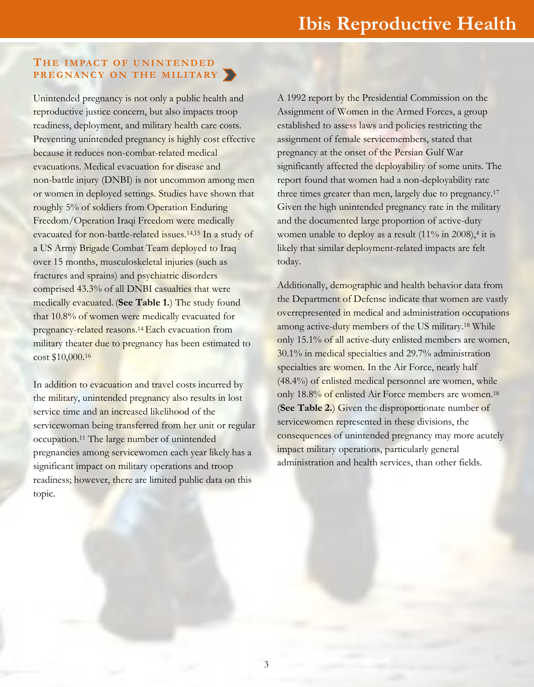#### **TH E I M PA C T O F U N I N T E ND E D P R E G NA N C Y O N T H E M I L I TA RY**

Unintended pregnancy is not only a public health and reproductive justice concern, but also impacts troop readiness, deployment, and military health care costs. Preventing unintended pregnancy is highly cost effective because it reduces non-combat-related medical evacuations. Medical evacuation for disease and non-battle injury (DNBI) is not uncommon among men or women in deployed settings. Studies have shown that roughly 5% of soldiers from Operation Enduring Freedom/Operation Iraqi Freedom were medically evacuated for non-battle-related issues.14,15 In a study of a US Army Brigade Combat Team deployed to Iraq over 15 months, musculoskeletal injuries (such as fractures and sprains) and psychiatric disorders comprised 43.3% of all DNBI casualties that were medically evacuated. (**See Table 1.**) The study found that 10.8% of women were medically evacuated for pregnancy-related reasons.14 Each evacuation from military theater due to pregnancy has been estimated to cost \$10,000.<sup>16</sup>

In addition to evacuation and travel costs incurred by the military, unintended pregnancy also results in lost service time and an increased likelihood of the servicewoman being transferred from her unit or regular occupation.<sup>11</sup> The large number of unintended pregnancies among servicewomen each year likely has a significant impact on military operations and troop readiness; however, there are limited public data on this topic.

A 1992 report by the Presidential Commission on the Assignment of Women in the Armed Forces, a group established to assess laws and policies restricting the assignment of female servicemembers, stated that pregnancy at the onset of the Persian Gulf War significantly affected the deployability of some units. The report found that women had a non-deployability rate three times greater than men, largely due to pregnancy.<sup>17</sup> Given the high unintended pregnancy rate in the military and the documented large proportion of active-duty women unable to deploy as a result  $(11\% \text{ in } 2008)$ ,<sup>4</sup> it is likely that similar deployment-related impacts are felt today.

mission on the<br>orces, a group<br>estricting the<br>stated that<br>ulf War<br>f some units. The<br>ployability rate<br>to pregnancy.<sup>17</sup><br>ate in the military<br>f active-duty<br> $\%$  in 2008),<sup>4</sup> it is<br>pacts are felt<br>ehavior data from<br>t women are v Additionally, demographic and health behavior data from the Department of Defense indicate that women are vastly overrepresented in medical and administration occupations among active-duty members of the US military.<sup>18</sup> While only 15.1% of all active-duty enlisted members are women, 30.1% in medical specialties and 29.7% administration specialties are women. In the Air Force, nearly half (48.4%) of enlisted medical personnel are women, while only 18.8% of enlisted Air Force members are women.<sup>18</sup> (**See Table 2.**) Given the disproportionate number of servicewomen represented in these divisions, the consequences of unintended pregnancy may more acutely impact military operations, particularly general administration and health services, than other fields.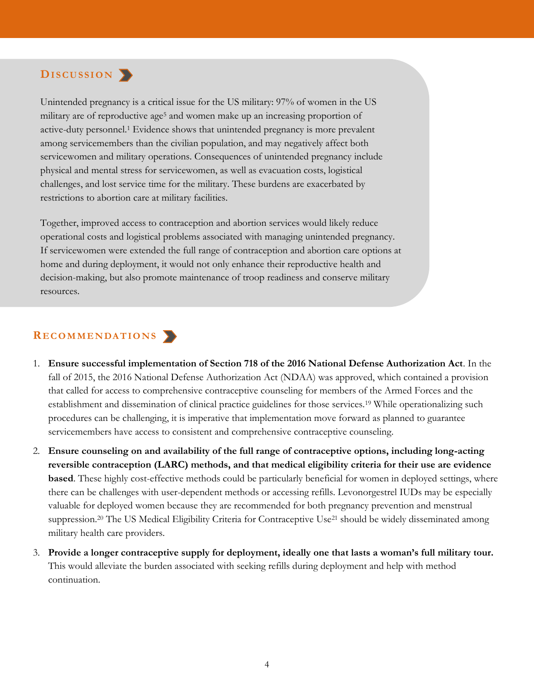## $DisCUSSION$

Unintended pregnancy is a critical issue for the US military: 97% of women in the US military are of reproductive age<sup>5</sup> and women make up an increasing proportion of active-duty personnel.<sup>1</sup> Evidence shows that unintended pregnancy is more prevalent among servicemembers than the civilian population, and may negatively affect both servicewomen and military operations. Consequences of unintended pregnancy include physical and mental stress for servicewomen, as well as evacuation costs, logistical challenges, and lost service time for the military. These burdens are exacerbated by restrictions to abortion care at military facilities.

Together, improved access to contraception and abortion services would likely reduce operational costs and logistical problems associated with managing unintended pregnancy. If servicewomen were extended the full range of contraception and abortion care options at home and during deployment, it would not only enhance their reproductive health and decision-making, but also promote maintenance of troop readiness and conserve military resources.

#### **R E C O M M E N DA T I O N S**

- 1. **Ensure successful implementation of Section 718 of the 2016 National Defense Authorization Act**. In the fall of 2015, the 2016 National Defense Authorization Act (NDAA) was approved, which contained a provision that called for access to comprehensive contraceptive counseling for members of the Armed Forces and the establishment and dissemination of clinical practice guidelines for those services.<sup>19</sup> While operationalizing such procedures can be challenging, it is imperative that implementation move forward as planned to guarantee servicemembers have access to consistent and comprehensive contraceptive counseling.
- 2. **Ensure counseling on and availability of the full range of contraceptive options, including long-acting reversible contraception (LARC) methods, and that medical eligibility criteria for their use are evidence based**. These highly cost-effective methods could be particularly beneficial for women in deployed settings, where there can be challenges with user-dependent methods or accessing refills. Levonorgestrel IUDs may be especially valuable for deployed women because they are recommended for both pregnancy prevention and menstrual suppression.<sup>20</sup> The US Medical Eligibility Criteria for Contraceptive Use<sup>21</sup> should be widely disseminated among military health care providers.
- 3. **Provide a longer contraceptive supply for deployment, ideally one that lasts a woman's full military tour.** This would alleviate the burden associated with seeking refills during deployment and help with method continuation.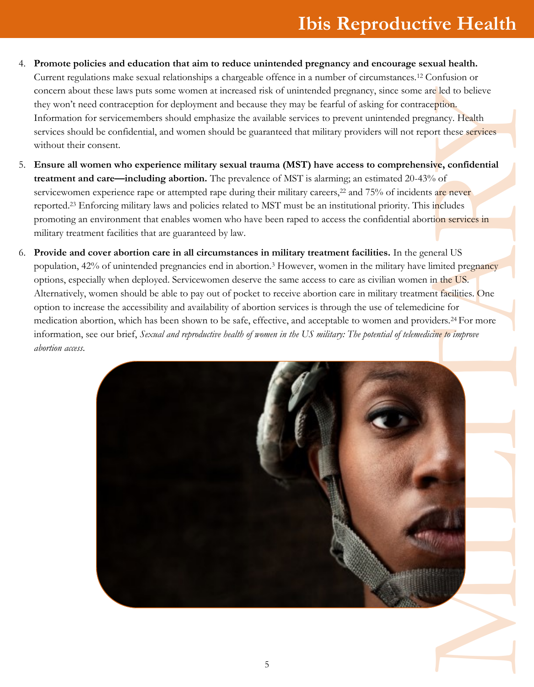# **Ibis Reproductive Health**

- 4. **Promote policies and education that aim to reduce unintended pregnancy and encourage sexual health.** Current regulations make sexual relationships a chargeable offence in a number of circumstances.<sup>12</sup> Confusion or concern about these laws puts some women at increased risk of unintended pregnancy, since some are led to believe they won't need contraception for deployment and because they may be fearful of asking for contraception. Information for servicemembers should emphasize the available services to prevent unintended pregnancy. Health services should be confidential, and women should be guaranteed that military providers will not report these services without their consent.
- 5. **Ensure all women who experience military sexual trauma (MST) have access to comprehensive, confidential treatment and care—including abortion.** The prevalence of MST is alarming; an estimated 20-43% of servicewomen experience rape or attempted rape during their military careers,<sup>22</sup> and 75% of incidents are never reported.<sup>23</sup> Enforcing military laws and policies related to MST must be an institutional priority. This includes promoting an environment that enables women who have been raped to access the confidential abortion services in military treatment facilities that are guaranteed by law.
- 6. **Provide and cover abortion care in all circumstances in military treatment facilities.** In the general US population, 42% of unintended pregnancies end in abortion.<sup>3</sup> However, women in the military have limited pregnancy options, especially when deployed. Servicewomen deserve the same access to care as civilian women in the US. Alternatively, women should be able to pay out of pocket to receive abortion care in military treatment facilities. One option to increase the accessibility and availability of abortion services is through the use of telemedicine for medication abortion, which has been shown to be safe, effective, and acceptable to women and providers.24 For more information, see our brief, *Sexual and reproductive health of women in the US military: The potential of telemedicine to improve abortion access*.

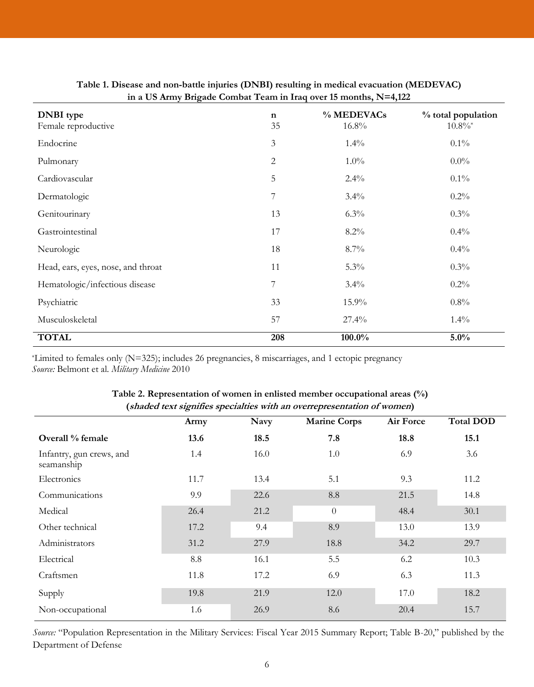|                                         | 0              |                     |                                |
|-----------------------------------------|----------------|---------------------|--------------------------------|
| <b>DNBI</b> type<br>Female reproductive | n<br>35        | % MEDEVACs<br>16.8% | % total population<br>$10.8\%$ |
| Endocrine                               | $\mathfrak{Z}$ | $1.4\%$             | $0.1\%$                        |
| Pulmonary                               | $\overline{2}$ | $1.0\%$             | $0.0\%$                        |
| Cardiovascular                          | 5              | $2.4\%$             | $0.1\%$                        |
| Dermatologic                            | $\overline{7}$ | $3.4\%$             | $0.2\%$                        |
| Genitourinary                           | 13             | $6.3\%$             | $0.3\%$                        |
| Gastrointestinal                        | 17             | $8.2\%$             | $0.4\%$                        |
| Neurologic                              | 18             | 8.7%                | $0.4\%$                        |
| Head, ears, eyes, nose, and throat      | 11             | $5.3\%$             | $0.3\%$                        |
| Hematologic/infectious disease          | 7              | $3.4\%$             | $0.2\%$                        |
| Psychiatric                             | 33             | 15.9%               | $0.8\%$                        |
| Musculoskeletal                         | 57             | 27.4%               | $1.4\%$                        |
| <b>TOTAL</b>                            | 208            | 100.0%              | 5.0%                           |

#### **Table 1. Disease and non-battle injuries (DNBI) resulting in medical evacuation (MEDEVAC) in a US Army Brigade Combat Team in Iraq over 15 months, N=4,122**

\*Limited to females only (N=325); includes 26 pregnancies, 8 miscarriages, and 1 ectopic pregnancy *Source:* Belmont et al. *Military Medicine* 2010

| $(s)$ and $(a)$ are signified specialities with an overrepresentation of women |      |             |                     |                  |                  |  |  |  |
|--------------------------------------------------------------------------------|------|-------------|---------------------|------------------|------------------|--|--|--|
|                                                                                | Army | <b>Navy</b> | <b>Marine Corps</b> | <b>Air Force</b> | <b>Total DOD</b> |  |  |  |
| Overall % female                                                               | 13.6 | 18.5        | 7.8                 | 18.8             | 15.1             |  |  |  |
| Infantry, gun crews, and<br>seamanship                                         | 1.4  | 16.0        | 1.0                 | 6.9              | 3.6              |  |  |  |
| Electronics                                                                    | 11.7 | 13.4        | 5.1                 | 9.3              | 11.2             |  |  |  |
| Communications                                                                 | 9.9  | 22.6        | 8.8                 | 21.5             | 14.8             |  |  |  |
| Medical                                                                        | 26.4 | 21.2        | $\theta$            | 48.4             | 30.1             |  |  |  |
| Other technical                                                                | 17.2 | 9.4         | 8.9                 | 13.0             | 13.9             |  |  |  |
| Administrators                                                                 | 31.2 | 27.9        | 18.8                | 34.2             | 29.7             |  |  |  |
| Electrical                                                                     | 8.8  | 16.1        | 5.5                 | 6.2              | 10.3             |  |  |  |
| Craftsmen                                                                      | 11.8 | 17.2        | 6.9                 | 6.3              | 11.3             |  |  |  |
| Supply                                                                         | 19.8 | 21.9        | 12.0                | 17.0             | 18.2             |  |  |  |
| Non-occupational                                                               | 1.6  | 26.9        | 8.6                 | 20.4             | 15.7             |  |  |  |

#### **Table 2. Representation of women in enlisted member occupational areas (%) (shaded text signifies specialties with an overrepresentation of women)**

*Source:* "Population Representation in the Military Services: Fiscal Year 2015 Summary Report; Table B-20," published by the Department of Defense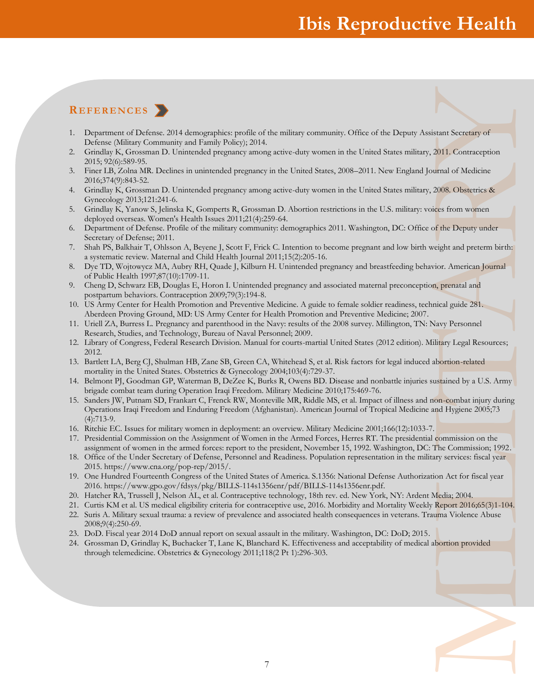## **Ibis Reproductive Health**

## **R E F E R E N C E S**

- 1. Department of Defense. 2014 demographics: profile of the military community. Office of the Deputy Assistant Secretary of Defense (Military Community and Family Policy); 2014.
- 2. Grindlay K, Grossman D. Unintended pregnancy among active-duty women in the United States military, 2011. Contraception 2015; 92(6):589-95.
- 3. Finer LB, Zolna MR. Declines in unintended pregnancy in the United States, 2008–2011. New England Journal of Medicine 2016;374(9):843-52.
- 4. Grindlay K, Grossman D. Unintended pregnancy among active-duty women in the United States military, 2008. Obstetrics & Gynecology 2013;121:241-6.
- 5. Grindlay K, Yanow S, Jelinska K, Gomperts R, Grossman D. Abortion restrictions in the U.S. military: voices from women deployed overseas. Women's Health Issues 2011;21(4):259-64.
- 6. Department of Defense. Profile of the military community: demographics 2011. Washington, DC: Office of the Deputy under Secretary of Defense; 2011.
- 7. Shah PS, Balkhair T, Ohlsson A, Beyene J, Scott F, Frick C. Intention to become pregnant and low birth weight and preterm birth: a systematic review. Maternal and Child Health Journal 2011;15(2):205-16.
- 8. Dye TD, Wojtowycz MA, Aubry RH, Quade J, Kilburn H. Unintended pregnancy and breastfeeding behavior. American Journal of Public Health 1997;87(10):1709-11.
- 9. Cheng D, Schwarz EB, Douglas E, Horon I. Unintended pregnancy and associated maternal preconception, prenatal and postpartum behaviors. Contraception 2009;79(3):194-8.
- 10. US Army Center for Health Promotion and Preventive Medicine. A guide to female soldier readiness, technical guide 281. Aberdeen Proving Ground, MD: US Army Center for Health Promotion and Preventive Medicine; 2007.
- 11. Uriell ZA, Burress L. Pregnancy and parenthood in the Navy: results of the 2008 survey. Millington, TN: Navy Personnel Research, Studies, and Technology, Bureau of Naval Personnel; 2009.
- 12. Library of Congress, Federal Research Division. Manual for courts-martial United States (2012 edition). Military Legal Resources; 2012.
- 13. Bartlett LA, Berg CJ, Shulman HB, Zane SB, Green CA, Whitehead S, et al. Risk factors for legal induced abortion-related mortality in the United States. Obstetrics & Gynecology 2004;103(4):729-37.
- 14. Belmont PJ, Goodman GP, Waterman B, DeZee K, Burks R, Owens BD. Disease and nonbattle injuries sustained by a U.S. Army brigade combat team during Operation Iraqi Freedom. Military Medicine 2010;175:469-76.
- Islant Secretary of<br>
2011. Contraception<br>
urnal of Medicine<br>
2008. Obstetrics &<br>
ties from women<br>
of the Deputy under<br>
weight and preterm birth:<br>
vior. American Journal<br>
n, prenatal and<br>
n, prenatal and<br>
Navy Personnel<br>
il 15. Sanders JW, Putnam SD, Frankart C, Frenck RW, Monteville MR, Riddle MS, et al. Impact of illness and non-combat injury during Operations Iraqi Freedom and Enduring Freedom (Afghanistan). American Journal of Tropical Medicine and Hygiene 2005;73 (4):713-9.
- 16. Ritchie EC. Issues for military women in deployment: an overview. Military Medicine 2001;166(12):1033-7.
- 17. Presidential Commission on the Assignment of Women in the Armed Forces, Herres RT. The presidential commission on the assignment of women in the armed forces: report to the president, November 15, 1992. Washington, DC: The Commission; 1992.
- 18. Office of the Under Secretary of Defense, Personnel and Readiness. Population representation in the military services: fiscal year 2015. https://www.cna.org/pop-rep/2015/.
- 19. One Hundred Fourteenth Congress of the United States of America. S.1356: National Defense Authorization Act for fiscal year 2016. [https://www.gpo.gov/fdsys/pkg/BILLS-114s1356enr/pdf/BILLS-114s1356enr.pdf.](https://www.gpo.gov/fdsys/pkg/BILLS-114s1356enr/pdf/BILLS-114s1356enr.pdf)
- 20. Hatcher RA, Trussell J, Nelson AL, et al. Contraceptive technology, 18th rev. ed. New York, NY: Ardent Media; 2004.
- 21. Curtis KM et al. US medical eligibility criteria for contraceptive use, 2016. Morbidity and Mortality Weekly Report 2016;65(3)1-104.
- 22. Suris A. Military sexual trauma: a review of prevalence and associated health consequences in veterans. Trauma Violence Abuse 2008;9(4):250-69.
- 23. DoD. Fiscal year 2014 DoD annual report on sexual assault in the military. Washington, DC: DoD; 2015.
- 24. Grossman D, Grindlay K, Buchacker T, Lane K, Blanchard K. Effectiveness and acceptability of medical abortion provided through telemedicine. Obstetrics & Gynecology 2011;118(2 Pt 1):296-303.